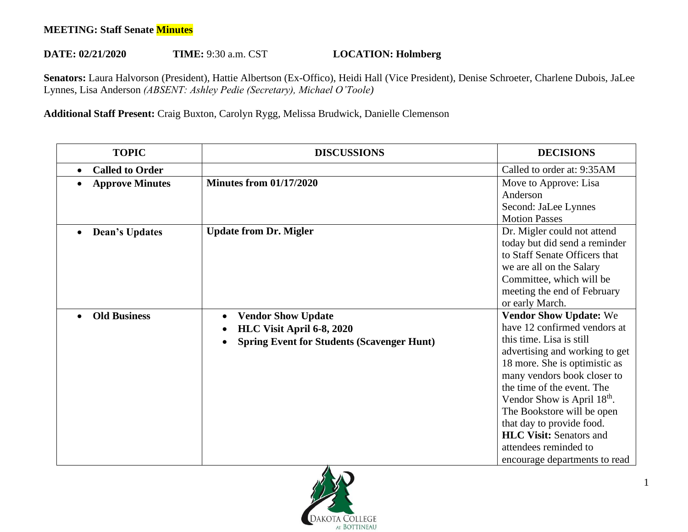## **MEETING: Staff Senate Minutes**

## **DATE: 02/21/2020 TIME:** 9:30 a.m. CST **LOCATION: Holmberg**

**Senators:** Laura Halvorson (President), Hattie Albertson (Ex-Offico), Heidi Hall (Vice President), Denise Schroeter, Charlene Dubois, JaLee Lynnes, Lisa Anderson *(ABSENT: Ashley Pedie (Secretary), Michael O'Toole)* 

## **Additional Staff Present:** Craig Buxton, Carolyn Rygg, Melissa Brudwick, Danielle Clemenson

| <b>TOPIC</b>                        | <b>DISCUSSIONS</b>                                | <b>DECISIONS</b>                        |
|-------------------------------------|---------------------------------------------------|-----------------------------------------|
| <b>Called to Order</b><br>$\bullet$ |                                                   | Called to order at: 9:35AM              |
| <b>Approve Minutes</b>              | <b>Minutes from 01/17/2020</b>                    | Move to Approve: Lisa                   |
|                                     |                                                   | Anderson                                |
|                                     |                                                   | Second: JaLee Lynnes                    |
|                                     |                                                   | <b>Motion Passes</b>                    |
| <b>Dean's Updates</b>               | <b>Update from Dr. Migler</b>                     | Dr. Migler could not attend             |
|                                     |                                                   | today but did send a reminder           |
|                                     |                                                   | to Staff Senate Officers that           |
|                                     |                                                   | we are all on the Salary                |
|                                     |                                                   | Committee, which will be                |
|                                     |                                                   | meeting the end of February             |
|                                     |                                                   | or early March.                         |
| <b>Old Business</b>                 | <b>Vendor Show Update</b><br>$\bullet$            | <b>Vendor Show Update: We</b>           |
|                                     | HLC Visit April 6-8, 2020                         | have 12 confirmed vendors at            |
|                                     | <b>Spring Event for Students (Scavenger Hunt)</b> | this time. Lisa is still                |
|                                     |                                                   | advertising and working to get          |
|                                     |                                                   | 18 more. She is optimistic as           |
|                                     |                                                   | many vendors book closer to             |
|                                     |                                                   | the time of the event. The              |
|                                     |                                                   | Vendor Show is April 18 <sup>th</sup> . |
|                                     |                                                   | The Bookstore will be open              |
|                                     |                                                   | that day to provide food.               |
|                                     |                                                   | <b>HLC Visit: Senators and</b>          |
|                                     |                                                   | attendees reminded to                   |
|                                     |                                                   | encourage departments to read           |